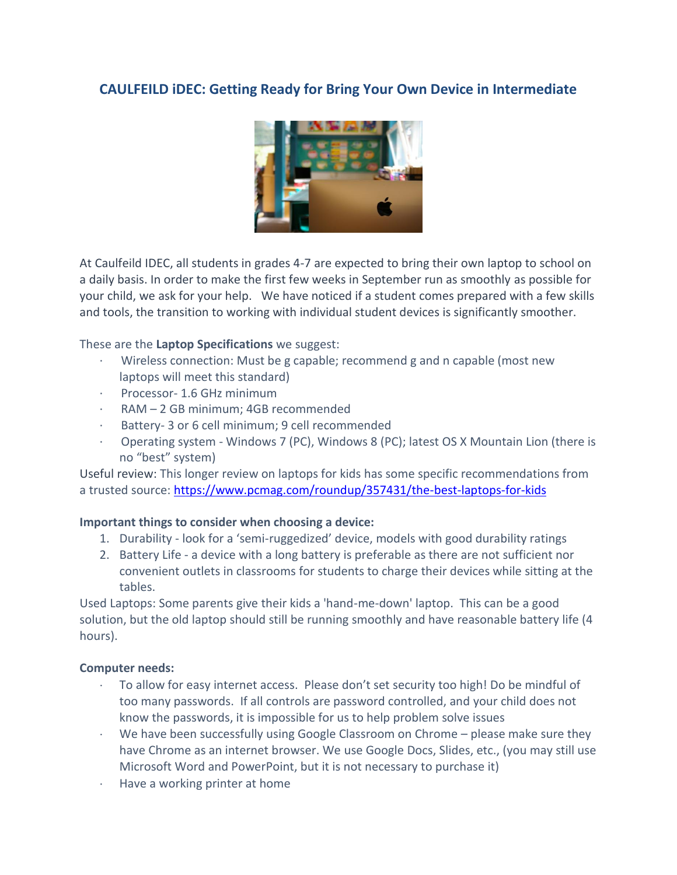# **CAULFEILD iDEC: Getting Ready for Bring Your Own Device in Intermediate**



At Caulfeild IDEC, all students in grades 4-7 are expected to bring their own laptop to school on a daily basis. In order to make the first few weeks in September run as smoothly as possible for your child, we ask for your help. We have noticed if a student comes prepared with a few skills and tools, the transition to working with individual student devices is significantly smoother.

#### These are the **Laptop Specifications** we suggest:

- · Wireless connection: Must be g capable; recommend g and n capable (most new laptops will meet this standard)
- · Processor- 1.6 GHz minimum
- RAM 2 GB minimum: 4GB recommended
- · Battery- 3 or 6 cell minimum; 9 cell recommended
- · Operating system Windows 7 (PC), Windows 8 (PC); latest OS X Mountain Lion (there is no "best" system)

Useful review: This longer review on laptops for kids has some specific recommendations from a trusted source:<https://www.pcmag.com/roundup/357431/the-best-laptops-for-kids>

## **Important things to consider when choosing a device:**

- 1. Durability look for a 'semi-ruggedized' device, models with good durability ratings
- 2. Battery Life a device with a long battery is preferable as there are not sufficient nor convenient outlets in classrooms for students to charge their devices while sitting at the tables.

Used Laptops: Some parents give their kids a 'hand-me-down' laptop. This can be a good solution, but the old laptop should still be running smoothly and have reasonable battery life (4 hours).

#### **Computer needs:**

- $\cdot$  To allow for easy internet access. Please don't set security too high! Do be mindful of too many passwords. If all controls are password controlled, and your child does not know the passwords, it is impossible for us to help problem solve issues
- We have been successfully using Google Classroom on Chrome please make sure they have Chrome as an internet browser. We use Google Docs, Slides, etc., (you may still use Microsoft Word and PowerPoint, but it is not necessary to purchase it)
- Have a working printer at home